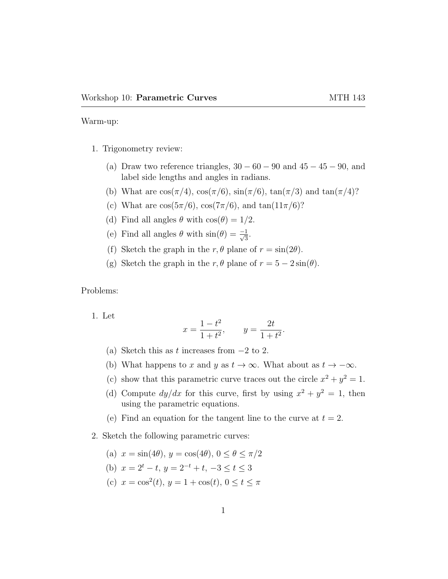Warm-up:

- 1. Trigonometry review:
	- (a) Draw two reference triangles,  $30 60 90$  and  $45 45 90$ , and label side lengths and angles in radians.
	- (b) What are  $\cos(\pi/4)$ ,  $\cos(\pi/6)$ ,  $\sin(\pi/6)$ ,  $\tan(\pi/3)$  and  $\tan(\pi/4)$ ?
	- (c) What are  $\cos(5\pi/6)$ ,  $\cos(7\pi/6)$ , and  $\tan(11\pi/6)$ ?
	- (d) Find all angles  $\theta$  with  $\cos(\theta) = 1/2$ .
	- (e) Find all angles  $\theta$  with  $\sin(\theta) = \frac{-1}{\sqrt{3}}$ .
	- (f) Sketch the graph in the r,  $\theta$  plane of  $r = \sin(2\theta)$ .
	- (g) Sketch the graph in the  $r, \theta$  plane of  $r = 5 2\sin(\theta)$ .

Problems:

1. Let

$$
x = \frac{1 - t^2}{1 + t^2}
$$
,  $y = \frac{2t}{1 + t^2}$ .

- (a) Sketch this as t increases from  $-2$  to 2.
- (b) What happens to x and y as  $t \to \infty$ . What about as  $t \to -\infty$ .
- (c) show that this parametric curve traces out the circle  $x^2 + y^2 = 1$ .
- (d) Compute  $dy/dx$  for this curve, first by using  $x^2 + y^2 = 1$ , then using the parametric equations.
- (e) Find an equation for the tangent line to the curve at  $t = 2$ .
- 2. Sketch the following parametric curves:
	- (a)  $x = \sin(4\theta)$ ,  $y = \cos(4\theta)$ ,  $0 \le \theta \le \pi/2$
	- (b)  $x = 2^t t$ ,  $y = 2^{-t} + t$ ,  $-3 \le t \le 3$
	- (c)  $x = \cos^2(t), y = 1 + \cos(t), 0 \le t \le \pi$